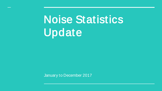# Noise Statistics Update

January to December 2017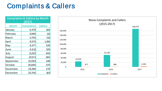### Complaints & Callers

| <b>Complaints &amp; Callers by Month</b><br>(2017) |                   |                |  |  |  |
|----------------------------------------------------|-------------------|----------------|--|--|--|
| <b>Month</b>                                       | <b>Complaints</b> | <b>Callers</b> |  |  |  |
| January                                            | 6,479             | 106            |  |  |  |
| February                                           | 3,988             | 112            |  |  |  |
| March                                              | 3,705             | 213            |  |  |  |
| April                                              | 9,575             | 1,156          |  |  |  |
| May                                                | 8,477             | 525            |  |  |  |
| June                                               | 6,613             | 325            |  |  |  |
| July                                               | 11,322            | 406            |  |  |  |
| August                                             | 23,571            | 460            |  |  |  |
| September                                          | 22,083            | 439            |  |  |  |
| October                                            | 25,869            | 370            |  |  |  |
| November                                           | 23,288            | 278            |  |  |  |
| December                                           | 23,706            | 183            |  |  |  |

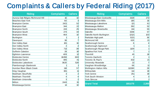# Complaints & Callers by Federal Riding (2017)

| <b>Riding</b>                   | <b>Complaints</b> | <b>Callers</b>  | <b>Riding</b>               | <b>Complaints</b> | <b>Callers</b> |
|---------------------------------|-------------------|-----------------|-----------------------------|-------------------|----------------|
| Aurora-Oak Ridges-Richmond Hill | 16                | 10 <sup>°</sup> | Mississauga East-Cooksville | 3329              | 272            |
| Beaches-East York               | 60                |                 | Mississauga-Erin Mills      | 185               | 16             |
| <b>Brampton Centre</b>          | 2421              | 52              | Mississauga-Lakeshore       | 121               | 61             |
| <b>Brampton East</b>            | 344               | 22              | Mississauga-Malton          | 392               | 52             |
| <b>Brampton North</b>           | 243               | 25              | Mississauga-Streetsville    | 134               | 55             |
| <b>Brampton South</b>           | 274               | 34              | Oakville                    | 3348              | 57             |
| <b>Brampton West</b>            | 464               | 10 <sup>1</sup> | Oakville North-Burlington   | 12121             | 103            |
| Burlington                      |                   |                 | Parkdale-High park          | 5221              | 36             |
| Davenport                       | 38                |                 | <b>Richmond Hill</b>        | 620               | 21             |
| Don Valley East                 | 181               | 16              | Scarborough Centre          | 6                 |                |
| Don Valley North                |                   |                 | Scarborough-Agincourt       |                   |                |
| Don Valley West                 | 713               | 39              | Scarborough-Rouge Park      | 1109              |                |
| Dufferin-Caledon                | 29                | 18              | Spadina-Fort York           |                   |                |
| Eglinton-Lawrence               | 409               | 12              | Thornhill                   | 45                | 18             |
| Etobicoke Centre                | 16288             | 669             | Toronto-Danforth            |                   |                |
| Etobicoke North                 | 485               | 41              | Toronto-St. Paul's          | 832               | 21             |
| Etobicoke-Lakeshore             | 3620              | 528             | University-Rosedale         | 22                |                |
| Flamborough-Glanbrook           |                   |                 | Vaughan-Woodbridge          | 66                | 11             |
| Humber River-Black Creek        | 118               | 57              | Wellington-Halton Hills     | 112190            | 29             |
| King-Vaughan                    | 381               | 11              | Willowdale                  | 114               | 18             |
| Markham-Stouffville             | 3                 |                 | York Centre                 | 251               | 19             |
| Markham-Thornhill               | Δ                 |                 | York South-Weston           |                   | 3              |
| Markham-Unionville              | 3                 |                 | York-Simcoe                 |                   |                |
| Milton                          | 2443              | 15              | <b>Grand Total</b>          | 168,676           | 2,399          |
| Mississauga Centre              | 14                | 10 <sup>1</sup> |                             |                   |                |

| Riding             | <b>Complaints</b> | <b>Callers</b>  | <b>Riding</b>               | <b>Complaints</b> | <b>Callers</b> |
|--------------------|-------------------|-----------------|-----------------------------|-------------------|----------------|
| ges-Richmond Hill  | 16                | 10              | Mississauga East-Cooksville | 3329              | 272            |
| ork                | 60                | 3               | Mississauga-Erin Mills      | 185               | 16             |
| re                 | 2421              | 52              | Mississauga-Lakeshore       | 121               | 61             |
|                    | 344               | 22              | Mississauga-Malton          | 392               | 52             |
|                    | 243               | 25              | Mississauga-Streetsville    | 134               | 55             |
|                    | 274               | 34              | Oakville                    | 3348              | 57             |
|                    | 464               | 10              | Oakville North-Burlington   | 12121             | 103            |
|                    |                   |                 | Parkdale-High park          | 5221              | 36             |
|                    | 38                |                 | Richmond Hill               | 620               | 21             |
|                    | 181               | 16              | Scarborough Centre          | 6                 |                |
| th                 |                   |                 | Scarborough-Agincourt       |                   |                |
| зt                 | 713               | 39              | Scarborough-Rouge Park      | 1109              |                |
| วท                 | 29                | 18              | Spadina-Fort York           |                   |                |
| nce                | 409               | 12              | Thornhill                   | 45                | 18             |
| re                 | 16288             | 669             | Toronto-Danforth            |                   |                |
|                    | 485               | 41              | Toronto-St. Paul's          | 832               | 21             |
| eshore             | 3620              | 528             | University-Rosedale         | 22                |                |
| <b>Glanbrook</b>   |                   |                 | Vaughan-Woodbridge          | 66                | 11             |
| <b>Black Creek</b> | 118               | 57              | Wellington-Halton Hills     | 112190            | 29             |
|                    | 381               | 11              | Willowdale                  | 114               | 18             |
| fville             | 3                 |                 | York Centre                 | 251               | 19             |
| nhill              |                   |                 | York South-Weston           |                   |                |
| nville             |                   |                 | York-Simcoe                 |                   |                |
|                    | 2443              | 15              | <b>Grand Total</b>          | 168,676           | 2,399          |
| ntre               | 14                | 10 <sup>1</sup> |                             |                   |                |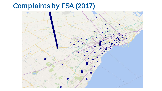## Complaints by FSA (2017)

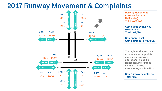### 2017 Runway Movement & Complaints



Runway Movements (does not include Helicopter)  $Total = 463.240$ 

Complaints by Runway **Movements**  $Total = 67,726$ 

Non-operational Complaints Total = 100,611

Throughout the year, we also receive complaints against non-runway operations, including Helicopter, Instrument Landing Checks, Overshoots, and Run Ups

Non-Runway Complaints  $Total = 339$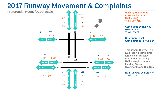### 2017 Runway Movement & Complaints

Preferential Hours (00:00-06:29)



Runway Movements (does not include Helicopter)  $Total = 22.248$ 

Complaints by Runway **Movements**  $Total = 7,873$ 

Non-operational Complaints Total = 26,984

Throughout the year, we also receive complaints against non-runway operations, including Helicopter, Instrument Landing Checks Overshoots, and Run Ups

#### Non-Runway Complaints  $Total = 116$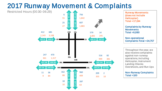### 2017 Runway Movement & Complaints

Restricted Hours (00:30-06:29)



Runway Movements (does not include Helicopter)  $Total = 17.194$ 

Complaints by Runway **Movements**  $Total = 6,080$ 

Non-operational Complaints Total = 24,757

Throughout the year, we also receive complaints against non-runway operations, including Helicopter, Instrument Landing Checks Overshoots, and Run Ups

Non-Runway Complaints  $Total = 100$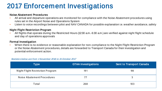### 2017 Enforcement Investigations

#### Noise Abatement Procedures

- All arrival and departure operations are monitored for compliance with the Noise Abatement procedures using rules set in the Airport Noise and Operations System
- Listen to voice recordings between pilot and NAV CANADA for possible explanation i.e. weather avoidance, safety

#### Night Flight Restriction Program

• All flights that operate during the Restricted Hours (12:30 a.m.-6:30 a.m.) are verified against night flight schedule and day of operations approvals

#### Formal Investigation

• When there is no evidence or reasonable explanation for non-compliance to the Night Flight Restriction Program or the Noise Abatement procedures, details are forwarded to Transport Canada for their investigation and potential enforcement action.

#### Statistics below are from 1 November 2016 to 31 October 2017

| Type                             | <b>GTAA Investigations</b> | <b>Sent to Transport Canada</b> |
|----------------------------------|----------------------------|---------------------------------|
| Night Flight Restriction Program | 191                        | 98                              |
| Noise Abatement Procedures       | 77                         |                                 |
| Total                            | 268                        | 103                             |